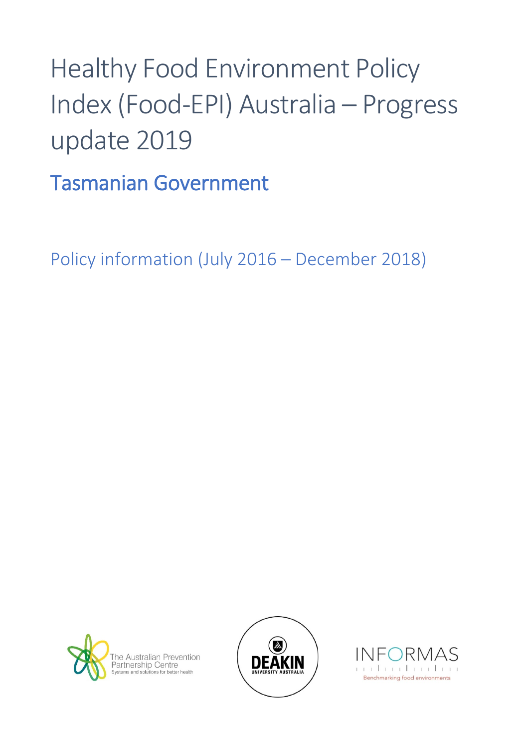## Healthy Food Environment Policy Index (Food-EPI) Australia – Progress update 2019

Tasmanian Government

Policy information (July 2016 – December 2018)





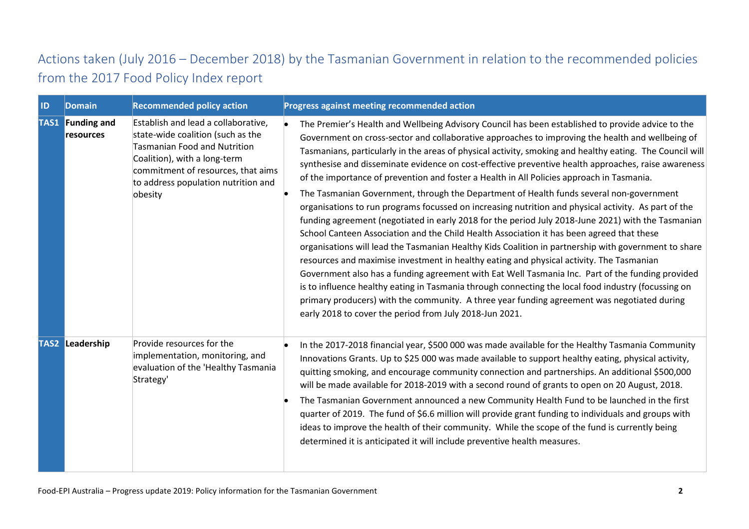## Actions taken (July 2016 – December 2018) by the Tasmanian Government in relation to the recommended policies from the 2017 Food Policy Index report

| ID | <b>Domain</b>                        | <b>Recommended policy action</b>                                                                                                                                                                                                 | Progress against meeting recommended action                                                                                                                                                                                                                                                                                                                                                                                                                                                                                                                                                                                                                                                                                                                                                                                                                                                                                                                                                                                                                                                                                                                                                                                                                                                                                                                                                                                                                                                          |
|----|--------------------------------------|----------------------------------------------------------------------------------------------------------------------------------------------------------------------------------------------------------------------------------|------------------------------------------------------------------------------------------------------------------------------------------------------------------------------------------------------------------------------------------------------------------------------------------------------------------------------------------------------------------------------------------------------------------------------------------------------------------------------------------------------------------------------------------------------------------------------------------------------------------------------------------------------------------------------------------------------------------------------------------------------------------------------------------------------------------------------------------------------------------------------------------------------------------------------------------------------------------------------------------------------------------------------------------------------------------------------------------------------------------------------------------------------------------------------------------------------------------------------------------------------------------------------------------------------------------------------------------------------------------------------------------------------------------------------------------------------------------------------------------------------|
|    | <b>TAS1</b> Funding and<br>resources | Establish and lead a collaborative,<br>state-wide coalition (such as the<br>Tasmanian Food and Nutrition<br>Coalition), with a long-term<br>commitment of resources, that aims<br>to address population nutrition and<br>obesity | The Premier's Health and Wellbeing Advisory Council has been established to provide advice to the<br>Government on cross-sector and collaborative approaches to improving the health and wellbeing of<br>Tasmanians, particularly in the areas of physical activity, smoking and healthy eating. The Council will<br>synthesise and disseminate evidence on cost-effective preventive health approaches, raise awareness<br>of the importance of prevention and foster a Health in All Policies approach in Tasmania.<br>The Tasmanian Government, through the Department of Health funds several non-government<br>organisations to run programs focussed on increasing nutrition and physical activity. As part of the<br>funding agreement (negotiated in early 2018 for the period July 2018-June 2021) with the Tasmanian<br>School Canteen Association and the Child Health Association it has been agreed that these<br>organisations will lead the Tasmanian Healthy Kids Coalition in partnership with government to share<br>resources and maximise investment in healthy eating and physical activity. The Tasmanian<br>Government also has a funding agreement with Eat Well Tasmania Inc. Part of the funding provided<br>is to influence healthy eating in Tasmania through connecting the local food industry (focussing on<br>primary producers) with the community. A three year funding agreement was negotiated during<br>early 2018 to cover the period from July 2018-Jun 2021. |
|    | <b>TAS2 Leadership</b>               | Provide resources for the<br>implementation, monitoring, and<br>evaluation of the 'Healthy Tasmania<br>Strategy'                                                                                                                 | In the 2017-2018 financial year, \$500 000 was made available for the Healthy Tasmania Community<br>Innovations Grants. Up to \$25 000 was made available to support healthy eating, physical activity,<br>quitting smoking, and encourage community connection and partnerships. An additional \$500,000<br>will be made available for 2018-2019 with a second round of grants to open on 20 August, 2018.<br>The Tasmanian Government announced a new Community Health Fund to be launched in the first<br>quarter of 2019. The fund of \$6.6 million will provide grant funding to individuals and groups with<br>ideas to improve the health of their community. While the scope of the fund is currently being<br>determined it is anticipated it will include preventive health measures.                                                                                                                                                                                                                                                                                                                                                                                                                                                                                                                                                                                                                                                                                                      |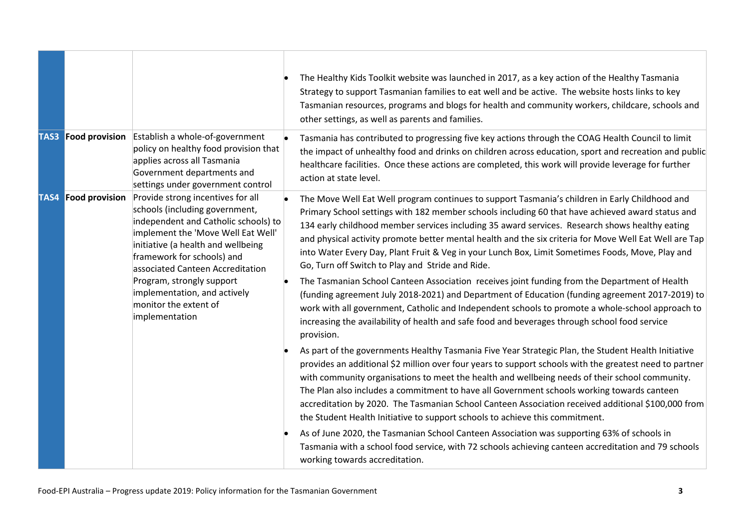|      |                            |                                                                                                                                                                                                                                                                                                                                                                   | The Healthy Kids Toolkit website was launched in 2017, as a key action of the Healthy Tasmania<br>Strategy to support Tasmanian families to eat well and be active. The website hosts links to key<br>Tasmanian resources, programs and blogs for health and community workers, childcare, schools and<br>other settings, as well as parents and families.                                                                                                                                                                                                                                           |
|------|----------------------------|-------------------------------------------------------------------------------------------------------------------------------------------------------------------------------------------------------------------------------------------------------------------------------------------------------------------------------------------------------------------|------------------------------------------------------------------------------------------------------------------------------------------------------------------------------------------------------------------------------------------------------------------------------------------------------------------------------------------------------------------------------------------------------------------------------------------------------------------------------------------------------------------------------------------------------------------------------------------------------|
|      | <b>TAS3</b> Food provision | Establish a whole-of-government<br>policy on healthy food provision that<br>applies across all Tasmania<br>Government departments and<br>settings under government control                                                                                                                                                                                        | Tasmania has contributed to progressing five key actions through the COAG Health Council to limit<br>the impact of unhealthy food and drinks on children across education, sport and recreation and public<br>healthcare facilities. Once these actions are completed, this work will provide leverage for further<br>action at state level.                                                                                                                                                                                                                                                         |
| TAS4 | <b>Food provision</b>      | Provide strong incentives for all<br>schools (including government,<br>independent and Catholic schools) to<br>implement the 'Move Well Eat Well'<br>initiative (a health and wellbeing<br>framework for schools) and<br>associated Canteen Accreditation<br>Program, strongly support<br>implementation, and actively<br>monitor the extent of<br>implementation | The Move Well Eat Well program continues to support Tasmania's children in Early Childhood and<br>Primary School settings with 182 member schools including 60 that have achieved award status and<br>134 early childhood member services including 35 award services. Research shows healthy eating<br>and physical activity promote better mental health and the six criteria for Move Well Eat Well are Tap<br>into Water Every Day, Plant Fruit & Veg in your Lunch Box, Limit Sometimes Foods, Move, Play and<br>Go, Turn off Switch to Play and Stride and Ride.                               |
|      |                            |                                                                                                                                                                                                                                                                                                                                                                   | The Tasmanian School Canteen Association receives joint funding from the Department of Health<br>(funding agreement July 2018-2021) and Department of Education (funding agreement 2017-2019) to<br>work with all government, Catholic and Independent schools to promote a whole-school approach to<br>increasing the availability of health and safe food and beverages through school food service<br>provision.                                                                                                                                                                                  |
|      |                            |                                                                                                                                                                                                                                                                                                                                                                   | As part of the governments Healthy Tasmania Five Year Strategic Plan, the Student Health Initiative<br>provides an additional \$2 million over four years to support schools with the greatest need to partner<br>with community organisations to meet the health and wellbeing needs of their school community.<br>The Plan also includes a commitment to have all Government schools working towards canteen<br>accreditation by 2020. The Tasmanian School Canteen Association received additional \$100,000 from<br>the Student Health Initiative to support schools to achieve this commitment. |
|      |                            |                                                                                                                                                                                                                                                                                                                                                                   | As of June 2020, the Tasmanian School Canteen Association was supporting 63% of schools in<br>Tasmania with a school food service, with 72 schools achieving canteen accreditation and 79 schools<br>working towards accreditation.                                                                                                                                                                                                                                                                                                                                                                  |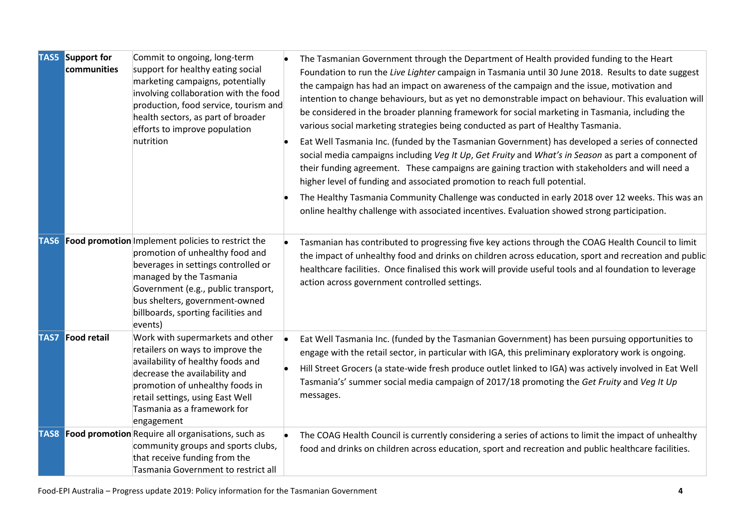| <b>TAS5</b> Support for<br>communities | Commit to ongoing, long-term<br>support for healthy eating social<br>marketing campaigns, potentially<br>involving collaboration with the food<br>production, food service, tourism and<br>health sectors, as part of broader<br>efforts to improve population<br>nutrition                   | The Tasmanian Government through the Department of Health provided funding to the Heart<br>Foundation to run the Live Lighter campaign in Tasmania until 30 June 2018. Results to date suggest<br>the campaign has had an impact on awareness of the campaign and the issue, motivation and<br>intention to change behaviours, but as yet no demonstrable impact on behaviour. This evaluation will<br>be considered in the broader planning framework for social marketing in Tasmania, including the<br>various social marketing strategies being conducted as part of Healthy Tasmania.<br>Eat Well Tasmania Inc. (funded by the Tasmanian Government) has developed a series of connected<br>social media campaigns including Veg It Up, Get Fruity and What's in Season as part a component of<br>their funding agreement. These campaigns are gaining traction with stakeholders and will need a<br>higher level of funding and associated promotion to reach full potential.<br>The Healthy Tasmania Community Challenge was conducted in early 2018 over 12 weeks. This was an<br>online healthy challenge with associated incentives. Evaluation showed strong participation. |
|----------------------------------------|-----------------------------------------------------------------------------------------------------------------------------------------------------------------------------------------------------------------------------------------------------------------------------------------------|----------------------------------------------------------------------------------------------------------------------------------------------------------------------------------------------------------------------------------------------------------------------------------------------------------------------------------------------------------------------------------------------------------------------------------------------------------------------------------------------------------------------------------------------------------------------------------------------------------------------------------------------------------------------------------------------------------------------------------------------------------------------------------------------------------------------------------------------------------------------------------------------------------------------------------------------------------------------------------------------------------------------------------------------------------------------------------------------------------------------------------------------------------------------------------------|
|                                        | <b>TAS6</b> Food promotion Implement policies to restrict the<br>promotion of unhealthy food and<br>beverages in settings controlled or<br>managed by the Tasmania<br>Government (e.g., public transport,<br>bus shelters, government-owned<br>billboards, sporting facilities and<br>events) | Tasmanian has contributed to progressing five key actions through the COAG Health Council to limit<br>the impact of unhealthy food and drinks on children across education, sport and recreation and public<br>healthcare facilities. Once finalised this work will provide useful tools and al foundation to leverage<br>action across government controlled settings.                                                                                                                                                                                                                                                                                                                                                                                                                                                                                                                                                                                                                                                                                                                                                                                                                |
| <b>TAS7</b> Food retail                | Work with supermarkets and other<br>retailers on ways to improve the<br>availability of healthy foods and<br>decrease the availability and<br>promotion of unhealthy foods in<br>retail settings, using East Well<br>Tasmania as a framework for<br>engagement                                | Eat Well Tasmania Inc. (funded by the Tasmanian Government) has been pursuing opportunities to<br>engage with the retail sector, in particular with IGA, this preliminary exploratory work is ongoing.<br>Hill Street Grocers (a state-wide fresh produce outlet linked to IGA) was actively involved in Eat Well<br>Tasmania's' summer social media campaign of 2017/18 promoting the Get Fruity and Veg It Up<br>messages.                                                                                                                                                                                                                                                                                                                                                                                                                                                                                                                                                                                                                                                                                                                                                           |
|                                        | <b>TAS8</b> Food promotion Require all organisations, such as<br>community groups and sports clubs,<br>that receive funding from the<br>Tasmania Government to restrict all                                                                                                                   | The COAG Health Council is currently considering a series of actions to limit the impact of unhealthy<br>food and drinks on children across education, sport and recreation and public healthcare facilities.                                                                                                                                                                                                                                                                                                                                                                                                                                                                                                                                                                                                                                                                                                                                                                                                                                                                                                                                                                          |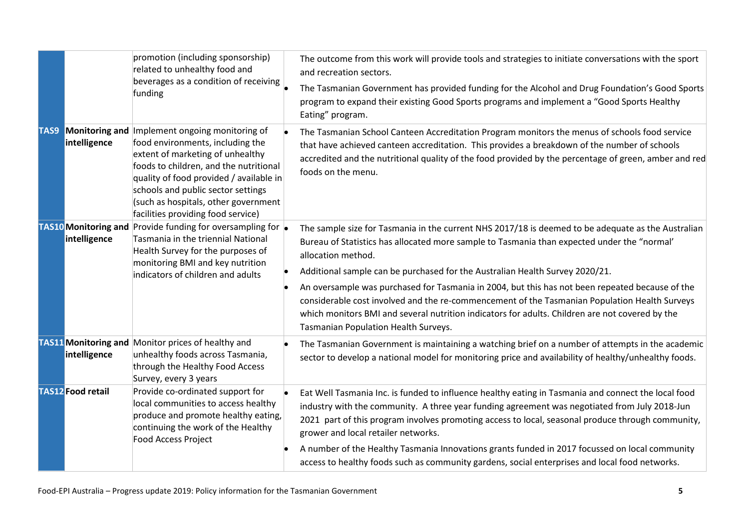|      |                                             | promotion (including sponsorship)<br>related to unhealthy food and<br>beverages as a condition of receiving<br>funding                                                                                                                                                                                           | The outcome from this work will provide tools and strategies to initiate conversations with the sport<br>and recreation sectors.<br>The Tasmanian Government has provided funding for the Alcohol and Drug Foundation's Good Sports<br>program to expand their existing Good Sports programs and implement a "Good Sports Healthy<br>Eating" program.                                                                                                                                                                                                                                                                                                  |
|------|---------------------------------------------|------------------------------------------------------------------------------------------------------------------------------------------------------------------------------------------------------------------------------------------------------------------------------------------------------------------|--------------------------------------------------------------------------------------------------------------------------------------------------------------------------------------------------------------------------------------------------------------------------------------------------------------------------------------------------------------------------------------------------------------------------------------------------------------------------------------------------------------------------------------------------------------------------------------------------------------------------------------------------------|
| TAS9 | <b>Monitoring and</b><br>intelligence       | Implement ongoing monitoring of<br>food environments, including the<br>extent of marketing of unhealthy<br>foods to children, and the nutritional<br>quality of food provided / available in<br>schools and public sector settings<br>(such as hospitals, other government<br>facilities providing food service) | The Tasmanian School Canteen Accreditation Program monitors the menus of schools food service<br>that have achieved canteen accreditation. This provides a breakdown of the number of schools<br>accredited and the nutritional quality of the food provided by the percentage of green, amber and red<br>foods on the menu.                                                                                                                                                                                                                                                                                                                           |
|      | <b>TAS10</b> Monitoring and<br>intelligence | Provide funding for oversampling for $\vert$<br>Tasmania in the triennial National<br>Health Survey for the purposes of<br>monitoring BMI and key nutrition<br>indicators of children and adults                                                                                                                 | The sample size for Tasmania in the current NHS 2017/18 is deemed to be adequate as the Australian<br>Bureau of Statistics has allocated more sample to Tasmania than expected under the "normal"<br>allocation method.<br>Additional sample can be purchased for the Australian Health Survey 2020/21.<br>An oversample was purchased for Tasmania in 2004, but this has not been repeated because of the<br>considerable cost involved and the re-commencement of the Tasmanian Population Health Surveys<br>which monitors BMI and several nutrition indicators for adults. Children are not covered by the<br>Tasmanian Population Health Surveys. |
|      | intelligence                                | <b>TAS11 Monitoring and Monitor prices of healthy and</b><br>unhealthy foods across Tasmania,<br>through the Healthy Food Access<br>Survey, every 3 years                                                                                                                                                        | The Tasmanian Government is maintaining a watching brief on a number of attempts in the academic<br>sector to develop a national model for monitoring price and availability of healthy/unhealthy foods.                                                                                                                                                                                                                                                                                                                                                                                                                                               |
|      | <b>TAS12</b> Food retail                    | Provide co-ordinated support for<br>local communities to access healthy<br>produce and promote healthy eating,<br>continuing the work of the Healthy<br>Food Access Project                                                                                                                                      | Eat Well Tasmania Inc. is funded to influence healthy eating in Tasmania and connect the local food<br>industry with the community. A three year funding agreement was negotiated from July 2018-Jun<br>2021 part of this program involves promoting access to local, seasonal produce through community,<br>grower and local retailer networks.<br>A number of the Healthy Tasmania Innovations grants funded in 2017 focussed on local community<br>access to healthy foods such as community gardens, social enterprises and local food networks.                                                                                                   |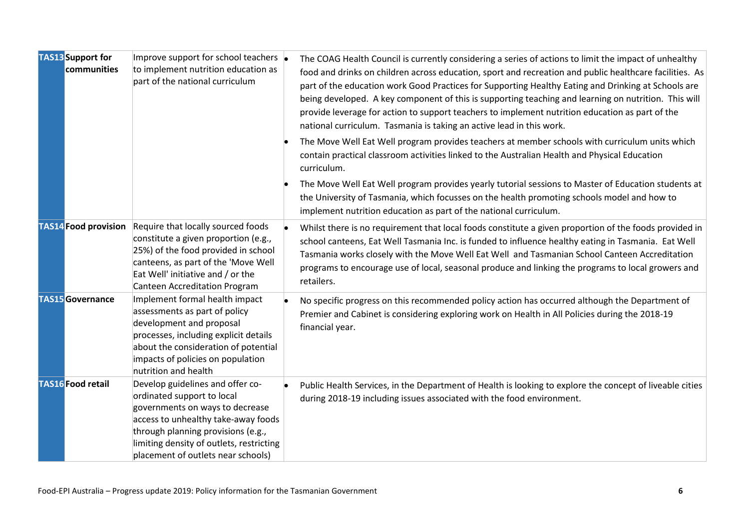| <b>TAS13</b> Support for<br>communities | Improve support for school teachers  <br>to implement nutrition education as<br>part of the national curriculum                                                                                                                                                  | The COAG Health Council is currently considering a series of actions to limit the impact of unhealthy<br>food and drinks on children across education, sport and recreation and public healthcare facilities. As<br>part of the education work Good Practices for Supporting Healthy Eating and Drinking at Schools are<br>being developed. A key component of this is supporting teaching and learning on nutrition. This will<br>provide leverage for action to support teachers to implement nutrition education as part of the<br>national curriculum. Tasmania is taking an active lead in this work.<br>The Move Well Eat Well program provides teachers at member schools with curriculum units which<br>contain practical classroom activities linked to the Australian Health and Physical Education<br>curriculum.<br>The Move Well Eat Well program provides yearly tutorial sessions to Master of Education students at<br>the University of Tasmania, which focusses on the health promoting schools model and how to<br>implement nutrition education as part of the national curriculum. |
|-----------------------------------------|------------------------------------------------------------------------------------------------------------------------------------------------------------------------------------------------------------------------------------------------------------------|---------------------------------------------------------------------------------------------------------------------------------------------------------------------------------------------------------------------------------------------------------------------------------------------------------------------------------------------------------------------------------------------------------------------------------------------------------------------------------------------------------------------------------------------------------------------------------------------------------------------------------------------------------------------------------------------------------------------------------------------------------------------------------------------------------------------------------------------------------------------------------------------------------------------------------------------------------------------------------------------------------------------------------------------------------------------------------------------------------|
| <b>TAS14</b> Food provision             | Require that locally sourced foods<br>constitute a given proportion (e.g.,<br>25%) of the food provided in school<br>canteens, as part of the 'Move Well<br>Eat Well' initiative and / or the<br>Canteen Accreditation Program                                   | Whilst there is no requirement that local foods constitute a given proportion of the foods provided in<br>school canteens, Eat Well Tasmania Inc. is funded to influence healthy eating in Tasmania. Eat Well<br>Tasmania works closely with the Move Well Eat Well and Tasmanian School Canteen Accreditation<br>programs to encourage use of local, seasonal produce and linking the programs to local growers and<br>retailers.                                                                                                                                                                                                                                                                                                                                                                                                                                                                                                                                                                                                                                                                      |
| <b>TAS15</b> Governance                 | Implement formal health impact<br>assessments as part of policy<br>development and proposal<br>processes, including explicit details<br>about the consideration of potential<br>impacts of policies on population<br>nutrition and health                        | No specific progress on this recommended policy action has occurred although the Department of<br>Premier and Cabinet is considering exploring work on Health in All Policies during the 2018-19<br>financial year.                                                                                                                                                                                                                                                                                                                                                                                                                                                                                                                                                                                                                                                                                                                                                                                                                                                                                     |
| <b>TAS16</b> Food retail                | Develop guidelines and offer co-<br>ordinated support to local<br>governments on ways to decrease<br>access to unhealthy take-away foods<br>through planning provisions (e.g.,<br>limiting density of outlets, restricting<br>placement of outlets near schools) | Public Health Services, in the Department of Health is looking to explore the concept of liveable cities<br>during 2018-19 including issues associated with the food environment.                                                                                                                                                                                                                                                                                                                                                                                                                                                                                                                                                                                                                                                                                                                                                                                                                                                                                                                       |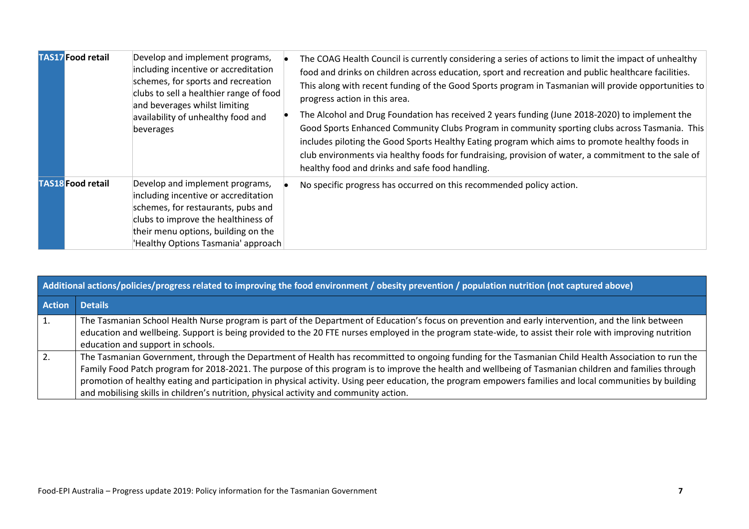| <b>TAS17</b> Food retail | Develop and implement programs,<br>including incentive or accreditation<br>schemes, for sports and recreation<br>clubs to sell a healthier range of food<br>and beverages whilst limiting<br>availability of unhealthy food and<br>beverages | The COAG Health Council is currently considering a series of actions to limit the impact of unhealthy<br>food and drinks on children across education, sport and recreation and public healthcare facilities.<br>This along with recent funding of the Good Sports program in Tasmanian will provide opportunities to<br>progress action in this area.<br>The Alcohol and Drug Foundation has received 2 years funding (June 2018-2020) to implement the<br>Good Sports Enhanced Community Clubs Program in community sporting clubs across Tasmania. This<br>includes piloting the Good Sports Healthy Eating program which aims to promote healthy foods in<br>club environments via healthy foods for fundraising, provision of water, a commitment to the sale of<br>healthy food and drinks and safe food handling. |
|--------------------------|----------------------------------------------------------------------------------------------------------------------------------------------------------------------------------------------------------------------------------------------|--------------------------------------------------------------------------------------------------------------------------------------------------------------------------------------------------------------------------------------------------------------------------------------------------------------------------------------------------------------------------------------------------------------------------------------------------------------------------------------------------------------------------------------------------------------------------------------------------------------------------------------------------------------------------------------------------------------------------------------------------------------------------------------------------------------------------|
| <b>TAS18</b> Food retail | Develop and implement programs,<br>including incentive or accreditation<br>schemes, for restaurants, pubs and<br>clubs to improve the healthiness of<br>their menu options, building on the<br>'Healthy Options Tasmania' approach           | No specific progress has occurred on this recommended policy action.                                                                                                                                                                                                                                                                                                                                                                                                                                                                                                                                                                                                                                                                                                                                                     |

| Additional actions/policies/progress related to improving the food environment / obesity prevention / population nutrition (not captured above) |                                                                                                                                                                                                                                                                                                                                                                                                                                                                                                                                                                      |  |  |
|-------------------------------------------------------------------------------------------------------------------------------------------------|----------------------------------------------------------------------------------------------------------------------------------------------------------------------------------------------------------------------------------------------------------------------------------------------------------------------------------------------------------------------------------------------------------------------------------------------------------------------------------------------------------------------------------------------------------------------|--|--|
| <b>Action</b>                                                                                                                                   | <b>Details</b>                                                                                                                                                                                                                                                                                                                                                                                                                                                                                                                                                       |  |  |
| 1.                                                                                                                                              | The Tasmanian School Health Nurse program is part of the Department of Education's focus on prevention and early intervention, and the link between<br>education and wellbeing. Support is being provided to the 20 FTE nurses employed in the program state-wide, to assist their role with improving nutrition<br>education and support in schools.                                                                                                                                                                                                                |  |  |
| 2.                                                                                                                                              | The Tasmanian Government, through the Department of Health has recommitted to ongoing funding for the Tasmanian Child Health Association to run the<br>Family Food Patch program for 2018-2021. The purpose of this program is to improve the health and wellbeing of Tasmanian children and families through<br>promotion of healthy eating and participation in physical activity. Using peer education, the program empowers families and local communities by building<br>and mobilising skills in children's nutrition, physical activity and community action. |  |  |